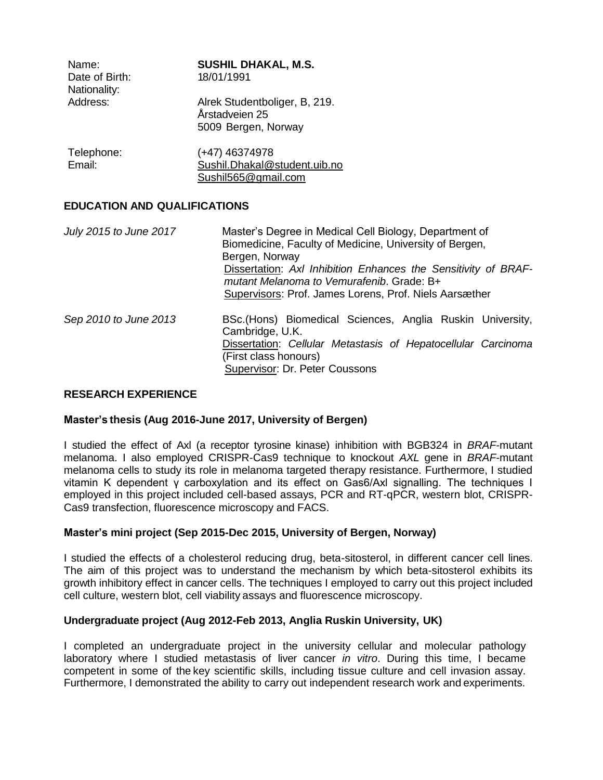| Name:                          | <b>SUSHIL DHAKAL, M.S.</b>                                             |
|--------------------------------|------------------------------------------------------------------------|
| Date of Birth:<br>Nationality: | 18/01/1991                                                             |
| Address:                       | Alrek Studentboliger, B, 219.<br>Årstadveien 25<br>5009 Bergen, Norway |
| Telephone:                     | (+47) 46374978                                                         |

| Email: | Sushil.Dhakal@student.uib.no |
|--------|------------------------------|
|        | Sushil565@gmail.com          |

## **EDUCATION AND QUALIFICATIONS**

| July 2015 to June 2017 | Master's Degree in Medical Cell Biology, Department of<br>Biomedicine, Faculty of Medicine, University of Bergen,<br>Bergen, Norway<br>Dissertation: Axl Inhibition Enhances the Sensitivity of BRAF-<br>mutant Melanoma to Vemurafenib. Grade: B+<br>Supervisors: Prof. James Lorens, Prof. Niels Aarsæther |
|------------------------|--------------------------------------------------------------------------------------------------------------------------------------------------------------------------------------------------------------------------------------------------------------------------------------------------------------|
| Sep 2010 to June 2013  | BSc. (Hons) Biomedical Sciences, Anglia Ruskin University,<br>Cambridge, U.K.<br>Dissertation: Cellular Metastasis of Hepatocellular Carcinoma<br>(First class honours)<br>Supervisor: Dr. Peter Coussons                                                                                                    |

## **RESEARCH EXPERIENCE**

### **Master's thesis (Aug 2016-June 2017, University of Bergen)**

I studied the effect of Axl (a receptor tyrosine kinase) inhibition with BGB324 in *BRAF*-mutant melanoma. I also employed CRISPR-Cas9 technique to knockout *AXL* gene in *BRAF*-mutant melanoma cells to study its role in melanoma targeted therapy resistance. Furthermore, I studied vitamin K dependent γ carboxylation and its effect on Gas6/Axl signalling. The techniques I employed in this project included cell-based assays, PCR and RT-qPCR, western blot, CRISPR-Cas9 transfection, fluorescence microscopy and FACS.

## **Master's mini project (Sep 2015-Dec 2015, University of Bergen, Norway)**

I studied the effects of a cholesterol reducing drug, beta-sitosterol, in different cancer cell lines. The aim of this project was to understand the mechanism by which beta-sitosterol exhibits its growth inhibitory effect in cancer cells. The techniques I employed to carry out this project included cell culture, western blot, cell viability assays and fluorescence microscopy.

### **Undergraduate project (Aug 2012-Feb 2013, Anglia Ruskin University, UK)**

I completed an undergraduate project in the university cellular and molecular pathology laboratory where I studied metastasis of liver cancer *in vitro*. During this time, I became competent in some of the key scientific skills, including tissue culture and cell invasion assay. Furthermore, I demonstrated the ability to carry out independent research work and experiments.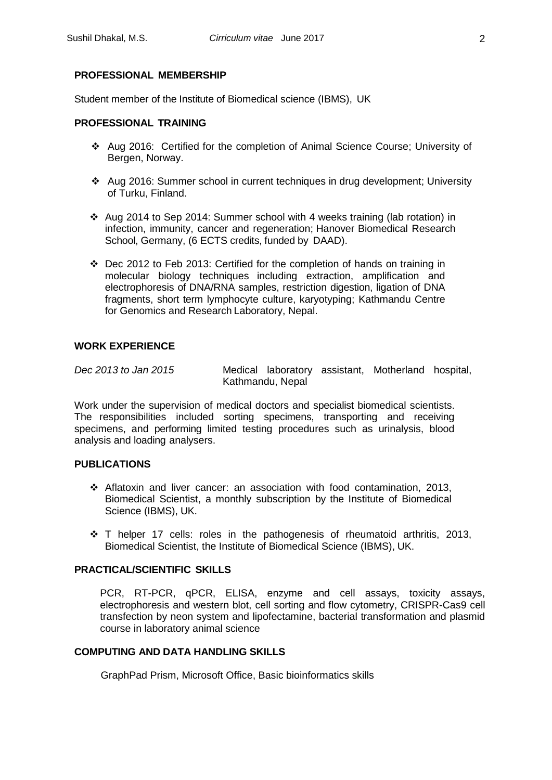### **PROFESSIONAL MEMBERSHIP**

Student member of the Institute of Biomedical science (IBMS), UK

### **PROFESSIONAL TRAINING**

- ❖ Aug 2016: Certified for the completion of Animal Science Course; University of Bergen, Norway.
- ❖ Aug 2016: Summer school in current techniques in drug development; University of Turku, Finland.
- ❖ Aug 2014 to Sep 2014: Summer school with 4 weeks training (lab rotation) in infection, immunity, cancer and regeneration; Hanover Biomedical Research School, Germany, (6 ECTS credits, funded by DAAD).
- ❖ Dec 2012 to Feb 2013: Certified for the completion of hands on training in molecular biology techniques including extraction, amplification and electrophoresis of DNA/RNA samples, restriction digestion, ligation of DNA fragments, short term lymphocyte culture, karyotyping; Kathmandu Centre for Genomics and Research Laboratory, Nepal.

#### **WORK EXPERIENCE**

*Dec 2013 to Jan 2015* Medical laboratory assistant, Motherland hospital, Kathmandu, Nepal

Work under the supervision of medical doctors and specialist biomedical scientists. The responsibilities included sorting specimens, transporting and receiving specimens, and performing limited testing procedures such as urinalysis, blood analysis and loading analysers.

### **PUBLICATIONS**

- ❖ Aflatoxin and liver cancer: an association with food contamination, 2013, Biomedical Scientist, a monthly subscription by the Institute of Biomedical Science (IBMS), UK.
- ❖ T helper 17 cells: roles in the pathogenesis of rheumatoid arthritis, 2013, Biomedical Scientist, the Institute of Biomedical Science (IBMS), UK.

### **PRACTICAL/SCIENTIFIC SKILLS**

PCR, RT-PCR, qPCR, ELISA, enzyme and cell assays, toxicity assays, electrophoresis and western blot, cell sorting and flow cytometry, CRISPR-Cas9 cell transfection by neon system and lipofectamine, bacterial transformation and plasmid course in laboratory animal science

### **COMPUTING AND DATA HANDLING SKILLS**

GraphPad Prism, Microsoft Office, Basic bioinformatics skills